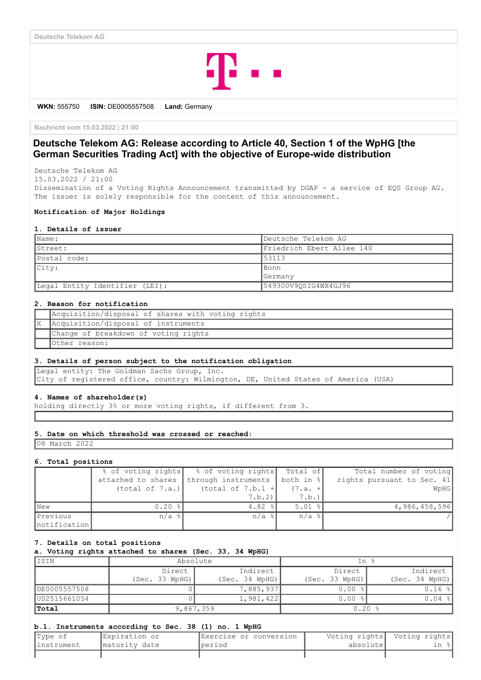

**WKN:** 555750 **ISIN:** DE0005557508 **Land:** Germany

**Nachricht vom 15.03.2022 | 21:00**

# **Deutsche Telekom AG: Release according to Article 40, Section 1 of the WpHG [the German Securities Trading Act] with the objective of Europe-wide distribution**

Deutsche Telekom AG 15.03.2022 / 21:00

Dissemination of a Voting Rights Announcement transmitted by DGAP - a service of EQS Group AG. The issuer is solely responsible for the content of this announcement.

# **Notification of Major Holdings**

#### **1. Details of issuer**

| Name:                          | Deutsche Telekom AG       |
|--------------------------------|---------------------------|
| Street:                        | Friedrich Ebert Allee 140 |
| Postal code:                   | 53113                     |
| City:                          | Bonn                      |
|                                | Germany                   |
| Legal Entity Identifier (LEI): | 549300V9OSIG4WX4GJ96      |

### **2. Reason for notification**

| Acquisition/disposal of shares with voting rights |
|---------------------------------------------------|
| Acquisition/disposal of instruments               |
| Change of breakdown of voting rights              |
| Other reason:                                     |

#### **3. Details of person subject to the notification obligation**

Legal entity: The Goldman Sachs Group, Inc. City of registered office, country: Wilmington, DE, United States of America (USA)

### **4. Names of shareholder(s)**

holding directly 3% or more voting rights, if different from 3.

#### **5. Date on which threshold was crossed or reached:**

08 March 2022

### **6. Total positions**

|              | % of voting rights  | % of voting rights  | Total of            | Total number of voting     |
|--------------|---------------------|---------------------|---------------------|----------------------------|
|              | attached to shares  | through instruments | both in %           | rights pursuant to Sec. 41 |
|              | (total of 7.a.)     | (total of $7.b.1 +$ | $(7.a. +$           | WpHG                       |
|              |                     | 7.b.2               | 7.b.)               |                            |
| <b>New</b>   | 0.20%               | $4.82$ $ $          | $5.01$ %            | 4,986,458,596              |
| Previous     | $n/a$ $\frac{1}{6}$ | $n/a$ $\mid$        | $n/a$ $\frac{1}{6}$ |                            |
| notification |                     |                     |                     |                            |

#### **7. Details on total positions**

**a. Voting rights attached to shares (Sec. 33, 34 WpHG)**

| IISIN        | Absolute       |                | In %           |                |  |
|--------------|----------------|----------------|----------------|----------------|--|
|              | Direct         | Indirect       | Direct         | Indirect       |  |
|              | (Sec. 33 WpHG) | (Sec. 34 WPHG) | (Sec. 33 WpHG) | (Sec. 34 WpHG) |  |
| DE0005557508 |                | 7,885,937      | $0.00$ %       | $0.16$ %       |  |
| US2515661054 |                | 1,981,422      | $0.00$ %       | $0.04$ %       |  |
| Total        | 9,867,359      |                | 0.20%          |                |  |

### **b.1. Instruments according to Sec. 38 (1) no. 1 WpHG**

| Type of     | Expiration or  | IExercise or conversion |           | Voting rights  Voting rights |
|-------------|----------------|-------------------------|-----------|------------------------------|
| linstrument | Imaturity date | Iperiod                 | absolutel | ın :                         |
|             |                |                         |           |                              |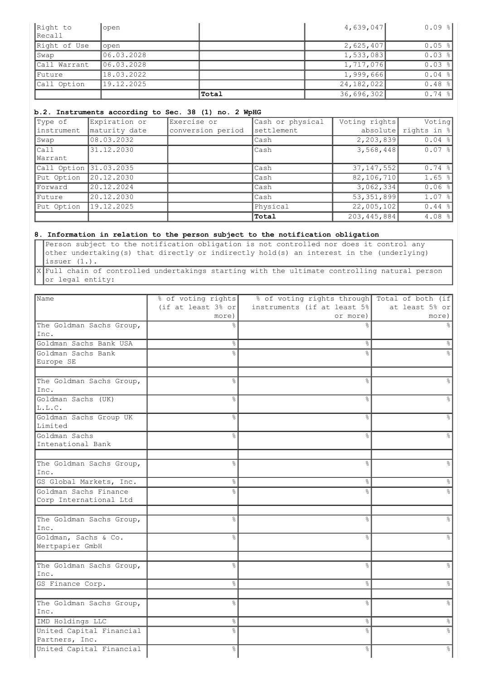| Right to      | open       |       | 4,639,047    | $0.09$ $  $ |
|---------------|------------|-------|--------------|-------------|
| Recall        |            |       |              |             |
| Right of Use  | open       |       | 2,625,407    | $0.05$ %    |
| Swap          | 06.03.2028 |       | 1,533,083    | $0.03$ %    |
| Call Warrant  | 06.03.2028 |       | 1,717,076    | $0.03$ %    |
| <i>Future</i> | 18.03.2022 |       | 1,999,666    | $0.04$ %    |
| Call Option   | 19.12.2025 |       | 24, 182, 022 | $0.48$ %    |
|               |            | Total | 36,696,302   | $0.74$ %    |

# **b.2. Instruments according to Sec. 38 (1) no. 2 WpHG**

| Type of                | Expiration or | Exercise or       | Cash or physical | Voting rights | Voting             |
|------------------------|---------------|-------------------|------------------|---------------|--------------------|
| linstrument            | maturity date | conversion period | settlement       | absolute      | rights in %        |
| Swap                   | 08.03.2032    |                   | Cash             | 2, 203, 839   | $0.04$ %           |
| Call                   | 31.12.2030    |                   | Cash             | 3,568,448     | $0.07$ %           |
| Warrant                |               |                   |                  |               |                    |
| Call Option 31.03.2035 |               |                   | Cash             | 37, 147, 552  | $0.74$ %           |
| Put Option             | 20.12.2030    |                   | Cash             | 82, 106, 710  | $1.65$ $ $         |
| Forward                | 20.12.2024    |                   | Cash             | 3,062,334     | 0.06%              |
| Future                 | 20.12.2030    |                   | Cash             | 53,351,899    | $1.07$ $ $         |
| Put Option             | 19.12.2025    |                   | Physical         | 22,005,102    | $0.44$ %           |
|                        |               |                   | Total            | 203, 445, 884 | 4.08 $\frac{8}{9}$ |

# **8. Information in relation to the person subject to the notification obligation**

Person subject to the notification obligation is not controlled nor does it control any other undertaking(s) that directly or indirectly hold(s) an interest in the (underlying) issuer (1.).

X Full chain of controlled undertakings starting with the ultimate controlling natural person or legal entity:

| (if at least $3\frac{6}{5}$ or<br>instruments (if at least 5%<br>at least 5% or<br>more)<br>or more)<br>more)<br>The Goldman Sachs Group,<br>Inc.<br>Goldman Sachs Bank USA<br>န္<br>&<br>&<br>Goldman Sachs Bank<br>읏<br>Europe SE<br>The Goldman Sachs Group,<br>$\frac{6}{10}$<br>$\approx$<br>$\approx$<br>Inc.<br>Goldman Sachs (UK)<br>g.<br>⊱<br>&<br>L.L.C.<br>Goldman Sachs Group UK<br>g.<br>۹Ś,<br>$\approx$<br>Limited<br>Goldman Sachs<br>٩,<br>٩,<br>$\approx$<br>Intenational Bank<br>$\frac{6}{6}$<br>The Goldman Sachs Group,<br>٥Ŗ<br>$\frac{6}{10}$<br>Inc.<br>GS Global Markets, Inc.<br>g<br>8<br>&<br>g.<br>Goldman Sachs Finance<br>°<br>Corp International Ltd<br>The Goldman Sachs Group,<br>$\frac{6}{10}$<br>°<br>٥Ŗ<br>Inc.<br>Goldman, Sachs & Co.<br>$\approx$<br>∽<br>$\approx$<br>Wertpapier GmbH<br>The Goldman Sachs Group,<br>$\frac{6}{10}$<br>$\approx$<br>$\approx$<br>Inc.<br>GS Finance Corp.<br>$\frac{6}{6}$<br>$\approx$<br>$\frac{6}{5}$<br>The Goldman Sachs Group,<br>$\frac{6}{6}$<br>$\approx$<br>$\%$<br>Inc.<br>IMD Holdings LLC<br>옹<br>&<br>$\frac{6}{6}$<br>United Capital Financial<br>$\frac{1}{\sqrt{2}}$<br>o<br>R<br>°<br>Partners, Inc. | Name | % of voting rights | % of voting rights through Total of both (if |  |
|----------------------------------------------------------------------------------------------------------------------------------------------------------------------------------------------------------------------------------------------------------------------------------------------------------------------------------------------------------------------------------------------------------------------------------------------------------------------------------------------------------------------------------------------------------------------------------------------------------------------------------------------------------------------------------------------------------------------------------------------------------------------------------------------------------------------------------------------------------------------------------------------------------------------------------------------------------------------------------------------------------------------------------------------------------------------------------------------------------------------------------------------------------------------------------------------------|------|--------------------|----------------------------------------------|--|
|                                                                                                                                                                                                                                                                                                                                                                                                                                                                                                                                                                                                                                                                                                                                                                                                                                                                                                                                                                                                                                                                                                                                                                                                    |      |                    |                                              |  |
|                                                                                                                                                                                                                                                                                                                                                                                                                                                                                                                                                                                                                                                                                                                                                                                                                                                                                                                                                                                                                                                                                                                                                                                                    |      |                    |                                              |  |
|                                                                                                                                                                                                                                                                                                                                                                                                                                                                                                                                                                                                                                                                                                                                                                                                                                                                                                                                                                                                                                                                                                                                                                                                    |      |                    |                                              |  |
|                                                                                                                                                                                                                                                                                                                                                                                                                                                                                                                                                                                                                                                                                                                                                                                                                                                                                                                                                                                                                                                                                                                                                                                                    |      |                    |                                              |  |
|                                                                                                                                                                                                                                                                                                                                                                                                                                                                                                                                                                                                                                                                                                                                                                                                                                                                                                                                                                                                                                                                                                                                                                                                    |      |                    |                                              |  |
|                                                                                                                                                                                                                                                                                                                                                                                                                                                                                                                                                                                                                                                                                                                                                                                                                                                                                                                                                                                                                                                                                                                                                                                                    |      |                    |                                              |  |
|                                                                                                                                                                                                                                                                                                                                                                                                                                                                                                                                                                                                                                                                                                                                                                                                                                                                                                                                                                                                                                                                                                                                                                                                    |      |                    |                                              |  |
|                                                                                                                                                                                                                                                                                                                                                                                                                                                                                                                                                                                                                                                                                                                                                                                                                                                                                                                                                                                                                                                                                                                                                                                                    |      |                    |                                              |  |
|                                                                                                                                                                                                                                                                                                                                                                                                                                                                                                                                                                                                                                                                                                                                                                                                                                                                                                                                                                                                                                                                                                                                                                                                    |      |                    |                                              |  |
|                                                                                                                                                                                                                                                                                                                                                                                                                                                                                                                                                                                                                                                                                                                                                                                                                                                                                                                                                                                                                                                                                                                                                                                                    |      |                    |                                              |  |
|                                                                                                                                                                                                                                                                                                                                                                                                                                                                                                                                                                                                                                                                                                                                                                                                                                                                                                                                                                                                                                                                                                                                                                                                    |      |                    |                                              |  |
|                                                                                                                                                                                                                                                                                                                                                                                                                                                                                                                                                                                                                                                                                                                                                                                                                                                                                                                                                                                                                                                                                                                                                                                                    |      |                    |                                              |  |
|                                                                                                                                                                                                                                                                                                                                                                                                                                                                                                                                                                                                                                                                                                                                                                                                                                                                                                                                                                                                                                                                                                                                                                                                    |      |                    |                                              |  |
|                                                                                                                                                                                                                                                                                                                                                                                                                                                                                                                                                                                                                                                                                                                                                                                                                                                                                                                                                                                                                                                                                                                                                                                                    |      |                    |                                              |  |
|                                                                                                                                                                                                                                                                                                                                                                                                                                                                                                                                                                                                                                                                                                                                                                                                                                                                                                                                                                                                                                                                                                                                                                                                    |      |                    |                                              |  |
|                                                                                                                                                                                                                                                                                                                                                                                                                                                                                                                                                                                                                                                                                                                                                                                                                                                                                                                                                                                                                                                                                                                                                                                                    |      |                    |                                              |  |
|                                                                                                                                                                                                                                                                                                                                                                                                                                                                                                                                                                                                                                                                                                                                                                                                                                                                                                                                                                                                                                                                                                                                                                                                    |      |                    |                                              |  |
|                                                                                                                                                                                                                                                                                                                                                                                                                                                                                                                                                                                                                                                                                                                                                                                                                                                                                                                                                                                                                                                                                                                                                                                                    |      |                    |                                              |  |
|                                                                                                                                                                                                                                                                                                                                                                                                                                                                                                                                                                                                                                                                                                                                                                                                                                                                                                                                                                                                                                                                                                                                                                                                    |      |                    |                                              |  |
|                                                                                                                                                                                                                                                                                                                                                                                                                                                                                                                                                                                                                                                                                                                                                                                                                                                                                                                                                                                                                                                                                                                                                                                                    |      |                    |                                              |  |
|                                                                                                                                                                                                                                                                                                                                                                                                                                                                                                                                                                                                                                                                                                                                                                                                                                                                                                                                                                                                                                                                                                                                                                                                    |      |                    |                                              |  |
|                                                                                                                                                                                                                                                                                                                                                                                                                                                                                                                                                                                                                                                                                                                                                                                                                                                                                                                                                                                                                                                                                                                                                                                                    |      |                    |                                              |  |
|                                                                                                                                                                                                                                                                                                                                                                                                                                                                                                                                                                                                                                                                                                                                                                                                                                                                                                                                                                                                                                                                                                                                                                                                    |      |                    |                                              |  |
|                                                                                                                                                                                                                                                                                                                                                                                                                                                                                                                                                                                                                                                                                                                                                                                                                                                                                                                                                                                                                                                                                                                                                                                                    |      |                    |                                              |  |
|                                                                                                                                                                                                                                                                                                                                                                                                                                                                                                                                                                                                                                                                                                                                                                                                                                                                                                                                                                                                                                                                                                                                                                                                    |      |                    |                                              |  |
|                                                                                                                                                                                                                                                                                                                                                                                                                                                                                                                                                                                                                                                                                                                                                                                                                                                                                                                                                                                                                                                                                                                                                                                                    |      |                    |                                              |  |
|                                                                                                                                                                                                                                                                                                                                                                                                                                                                                                                                                                                                                                                                                                                                                                                                                                                                                                                                                                                                                                                                                                                                                                                                    |      |                    |                                              |  |
|                                                                                                                                                                                                                                                                                                                                                                                                                                                                                                                                                                                                                                                                                                                                                                                                                                                                                                                                                                                                                                                                                                                                                                                                    |      |                    |                                              |  |
|                                                                                                                                                                                                                                                                                                                                                                                                                                                                                                                                                                                                                                                                                                                                                                                                                                                                                                                                                                                                                                                                                                                                                                                                    |      |                    |                                              |  |
|                                                                                                                                                                                                                                                                                                                                                                                                                                                                                                                                                                                                                                                                                                                                                                                                                                                                                                                                                                                                                                                                                                                                                                                                    |      |                    |                                              |  |
|                                                                                                                                                                                                                                                                                                                                                                                                                                                                                                                                                                                                                                                                                                                                                                                                                                                                                                                                                                                                                                                                                                                                                                                                    |      |                    |                                              |  |
|                                                                                                                                                                                                                                                                                                                                                                                                                                                                                                                                                                                                                                                                                                                                                                                                                                                                                                                                                                                                                                                                                                                                                                                                    |      |                    |                                              |  |
|                                                                                                                                                                                                                                                                                                                                                                                                                                                                                                                                                                                                                                                                                                                                                                                                                                                                                                                                                                                                                                                                                                                                                                                                    |      |                    |                                              |  |
|                                                                                                                                                                                                                                                                                                                                                                                                                                                                                                                                                                                                                                                                                                                                                                                                                                                                                                                                                                                                                                                                                                                                                                                                    |      |                    |                                              |  |
|                                                                                                                                                                                                                                                                                                                                                                                                                                                                                                                                                                                                                                                                                                                                                                                                                                                                                                                                                                                                                                                                                                                                                                                                    |      |                    |                                              |  |
|                                                                                                                                                                                                                                                                                                                                                                                                                                                                                                                                                                                                                                                                                                                                                                                                                                                                                                                                                                                                                                                                                                                                                                                                    |      |                    |                                              |  |
|                                                                                                                                                                                                                                                                                                                                                                                                                                                                                                                                                                                                                                                                                                                                                                                                                                                                                                                                                                                                                                                                                                                                                                                                    |      |                    |                                              |  |
| United Capital Financial<br>န္<br>e<br>S<br>g.                                                                                                                                                                                                                                                                                                                                                                                                                                                                                                                                                                                                                                                                                                                                                                                                                                                                                                                                                                                                                                                                                                                                                     |      |                    |                                              |  |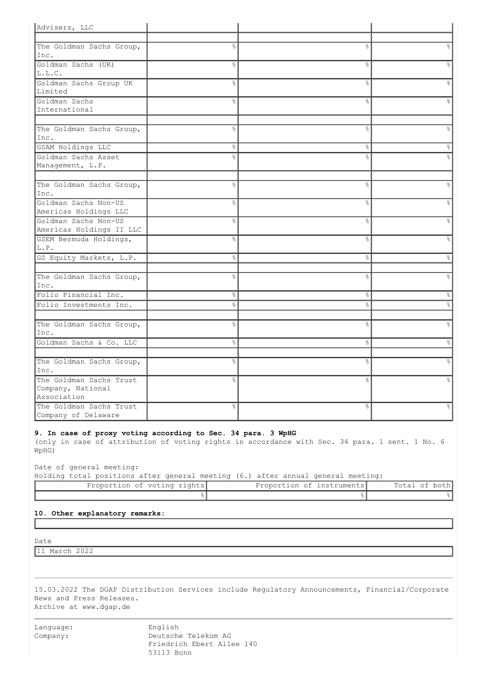| Advisers, LLC                    |                |                |                      |
|----------------------------------|----------------|----------------|----------------------|
|                                  |                |                |                      |
| The Goldman Sachs Group,         | o <sub>o</sub> | $\frac{1}{2}$  | $\approx$            |
| Inc.                             |                |                |                      |
| Goldman Sachs (UK)               | 옹              | &              | &                    |
| L.L.C.                           |                |                |                      |
| Goldman Sachs Group UK           | g.             | &              | $\approx$            |
| Limited                          |                |                |                      |
| Goldman Sachs                    | $\frac{6}{10}$ | $\frac{6}{10}$ | $\frac{1}{\sqrt{2}}$ |
| International                    |                |                |                      |
|                                  |                |                |                      |
| The Goldman Sachs Group,         | $\frac{6}{5}$  | $\frac{1}{2}$  | o.                   |
| Inc.                             |                |                |                      |
| GSAM Holdings LLC                | 옹              | ိင             | ိဝ                   |
| Goldman Sachs Asset              | $\frac{6}{10}$ | $\frac{6}{10}$ | $\approx$            |
| Management, L.P.                 |                |                |                      |
|                                  |                | $\frac{6}{2}$  |                      |
| The Goldman Sachs Group,<br>Inc. | $\%$           |                | $\frac{6}{5}$        |
| Goldman Sachs Non-US             | 옹              | &              | $\%$                 |
| Americas Holdings LLC            |                |                |                      |
| Goldman Sachs Non-US             | $\frac{6}{5}$  | &              | $\%$                 |
| Americas Holdings II LLC         |                |                |                      |
| GSEM Bermuda Holdings,           | g.             | ٩,             | o.                   |
| L.P.                             |                |                |                      |
| GS Equity Markets, L.P.          | 옹              | $\%$           | $\frac{6}{5}$        |
|                                  |                |                |                      |
| The Goldman Sachs Group,         | o <sub>o</sub> | o <sub>o</sub> | &                    |
| Inc.                             |                |                |                      |
| Folio Financial Inc.             | ွေ             | &              | $\epsilon$           |
| Folio Investments Inc.           | 옹              | &              | &                    |
|                                  |                |                |                      |
| The Goldman Sachs Group,         | $\frac{6}{10}$ | ٥Ŗ             | $\approx$            |
| Inc.                             |                |                |                      |
| Goldman Sachs & Co. LLC          | 옹              | °              | $\frac{6}{5}$        |
|                                  |                |                |                      |
| The Goldman Sachs Group,         | g<br>8         | g<br>6         | o,                   |
| Inc.                             |                |                |                      |
| The Goldman Sachs Trust          | $\frac{6}{10}$ | ٥Ŗ             | $\frac{6}{10}$       |
| Company, National                |                |                |                      |
| Association                      |                |                |                      |
| The Goldman Sachs Trust          | 옹              | o <sub>o</sub> | &                    |
| Company of Delaware              |                |                |                      |

### **9. In case of proxy voting according to Sec. 34 para. 3 WpHG**

(only in case of attribution of voting rights in accordance with Sec. 34 para. 1 sent. 1 No. 6 WpHG)

Date of general meeting:

Holding total positions after general meeting (6.) after annual general meeting:

| Proportion of voting rights | Proportion of instruments | Total of both |
|-----------------------------|---------------------------|---------------|
|                             |                           |               |

**10. Other explanatory remarks:**

Date

11 March 2022

15.03.2022 The DGAP Distribution Services include Regulatory Announcements, Financial/Corporate News and Press Releases. Archive at www.dgap.de

Company: Deutsche Telekom AG Friedrich Ebert Allee 140 53113 Bonn